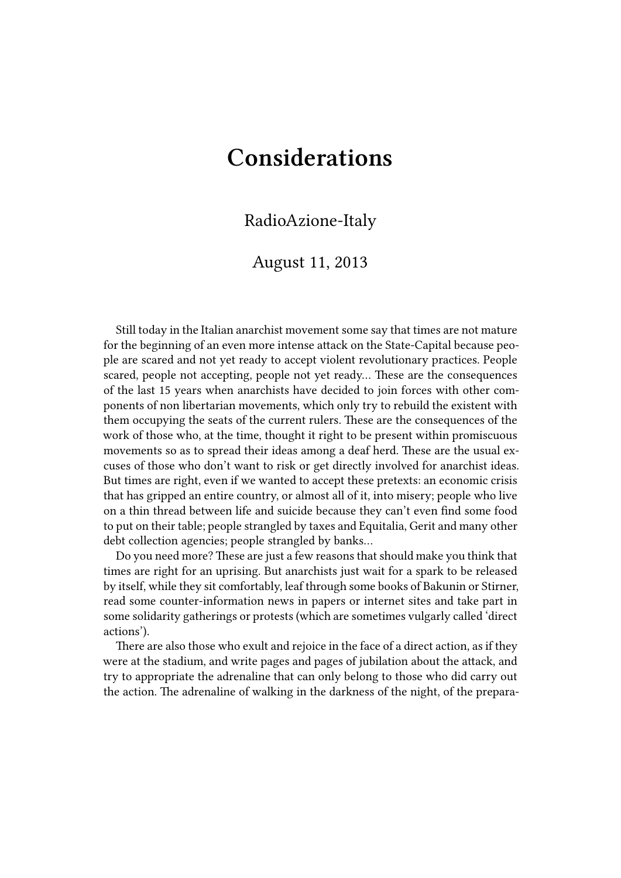## **Considerations**

## RadioAzione-Italy

## August 11, 2013

Still today in the Italian anarchist movement some say that times are not mature for the beginning of an even more intense attack on the State-Capital because people are scared and not yet ready to accept violent revolutionary practices. People scared, people not accepting, people not yet ready… These are the consequences of the last 15 years when anarchists have decided to join forces with other components of non libertarian movements, which only try to rebuild the existent with them occupying the seats of the current rulers. These are the consequences of the work of those who, at the time, thought it right to be present within promiscuous movements so as to spread their ideas among a deaf herd. These are the usual excuses of those who don't want to risk or get directly involved for anarchist ideas. But times are right, even if we wanted to accept these pretexts: an economic crisis that has gripped an entire country, or almost all of it, into misery; people who live on a thin thread between life and suicide because they can't even find some food to put on their table; people strangled by taxes and Equitalia, Gerit and many other debt collection agencies; people strangled by banks…

Do you need more? These are just a few reasons that should make you think that times are right for an uprising. But anarchists just wait for a spark to be released by itself, while they sit comfortably, leaf through some books of Bakunin or Stirner, read some counter-information news in papers or internet sites and take part in some solidarity gatherings or protests (which are sometimes vulgarly called 'direct actions').

There are also those who exult and rejoice in the face of a direct action, as if they were at the stadium, and write pages and pages of jubilation about the attack, and try to appropriate the adrenaline that can only belong to those who did carry out the action. The adrenaline of walking in the darkness of the night, of the prepara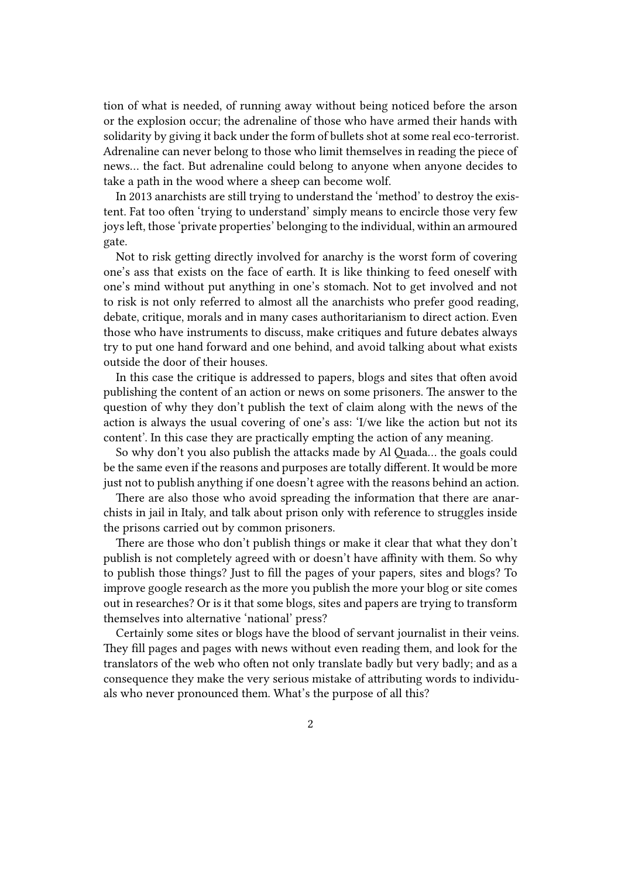tion of what is needed, of running away without being noticed before the arson or the explosion occur; the adrenaline of those who have armed their hands with solidarity by giving it back under the form of bullets shot at some real eco-terrorist. Adrenaline can never belong to those who limit themselves in reading the piece of news… the fact. But adrenaline could belong to anyone when anyone decides to take a path in the wood where a sheep can become wolf.

In 2013 anarchists are still trying to understand the 'method' to destroy the existent. Fat too often 'trying to understand' simply means to encircle those very few joys left, those 'private properties' belonging to the individual, within an armoured gate.

Not to risk getting directly involved for anarchy is the worst form of covering one's ass that exists on the face of earth. It is like thinking to feed oneself with one's mind without put anything in one's stomach. Not to get involved and not to risk is not only referred to almost all the anarchists who prefer good reading, debate, critique, morals and in many cases authoritarianism to direct action. Even those who have instruments to discuss, make critiques and future debates always try to put one hand forward and one behind, and avoid talking about what exists outside the door of their houses.

In this case the critique is addressed to papers, blogs and sites that often avoid publishing the content of an action or news on some prisoners. The answer to the question of why they don't publish the text of claim along with the news of the action is always the usual covering of one's ass: 'I/we like the action but not its content'. In this case they are practically empting the action of any meaning.

So why don't you also publish the attacks made by Al Quada… the goals could be the same even if the reasons and purposes are totally different. It would be more just not to publish anything if one doesn't agree with the reasons behind an action.

There are also those who avoid spreading the information that there are anarchists in jail in Italy, and talk about prison only with reference to struggles inside the prisons carried out by common prisoners.

There are those who don't publish things or make it clear that what they don't publish is not completely agreed with or doesn't have affinity with them. So why to publish those things? Just to fill the pages of your papers, sites and blogs? To improve google research as the more you publish the more your blog or site comes out in researches? Or is it that some blogs, sites and papers are trying to transform themselves into alternative 'national' press?

Certainly some sites or blogs have the blood of servant journalist in their veins. They fill pages and pages with news without even reading them, and look for the translators of the web who often not only translate badly but very badly; and as a consequence they make the very serious mistake of attributing words to individuals who never pronounced them. What's the purpose of all this?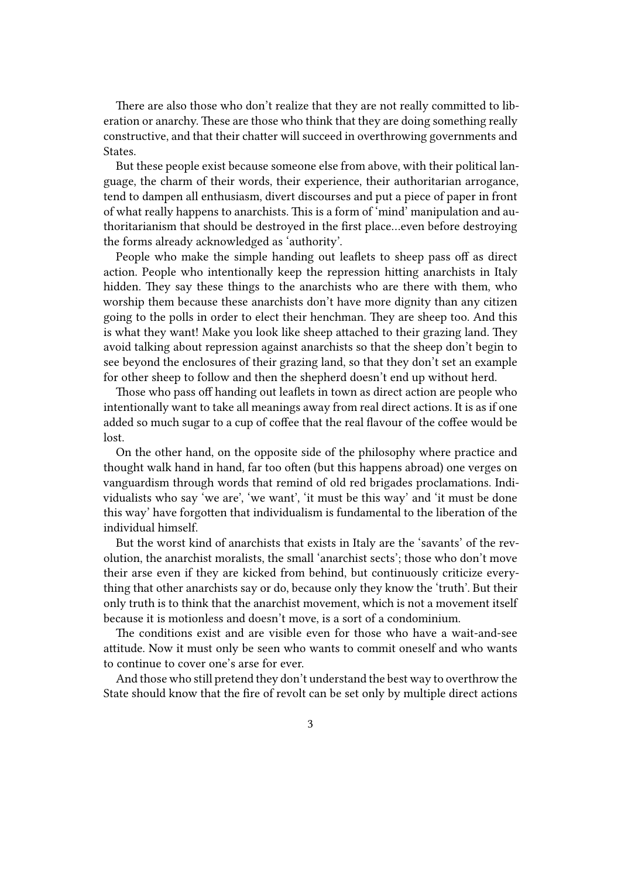There are also those who don't realize that they are not really committed to liberation or anarchy. These are those who think that they are doing something really constructive, and that their chatter will succeed in overthrowing governments and States.

But these people exist because someone else from above, with their political language, the charm of their words, their experience, their authoritarian arrogance, tend to dampen all enthusiasm, divert discourses and put a piece of paper in front of what really happens to anarchists. This is a form of 'mind' manipulation and authoritarianism that should be destroyed in the first place…even before destroying the forms already acknowledged as 'authority'.

People who make the simple handing out leaflets to sheep pass off as direct action. People who intentionally keep the repression hitting anarchists in Italy hidden. They say these things to the anarchists who are there with them, who worship them because these anarchists don't have more dignity than any citizen going to the polls in order to elect their henchman. They are sheep too. And this is what they want! Make you look like sheep attached to their grazing land. They avoid talking about repression against anarchists so that the sheep don't begin to see beyond the enclosures of their grazing land, so that they don't set an example for other sheep to follow and then the shepherd doesn't end up without herd.

Those who pass off handing out leaflets in town as direct action are people who intentionally want to take all meanings away from real direct actions. It is as if one added so much sugar to a cup of coffee that the real flavour of the coffee would be lost.

On the other hand, on the opposite side of the philosophy where practice and thought walk hand in hand, far too often (but this happens abroad) one verges on vanguardism through words that remind of old red brigades proclamations. Individualists who say 'we are', 'we want', 'it must be this way' and 'it must be done this way' have forgotten that individualism is fundamental to the liberation of the individual himself.

But the worst kind of anarchists that exists in Italy are the 'savants' of the revolution, the anarchist moralists, the small 'anarchist sects'; those who don't move their arse even if they are kicked from behind, but continuously criticize everything that other anarchists say or do, because only they know the 'truth'. But their only truth is to think that the anarchist movement, which is not a movement itself because it is motionless and doesn't move, is a sort of a condominium.

The conditions exist and are visible even for those who have a wait-and-see attitude. Now it must only be seen who wants to commit oneself and who wants to continue to cover one's arse for ever.

And those who still pretend they don't understand the best way to overthrow the State should know that the fire of revolt can be set only by multiple direct actions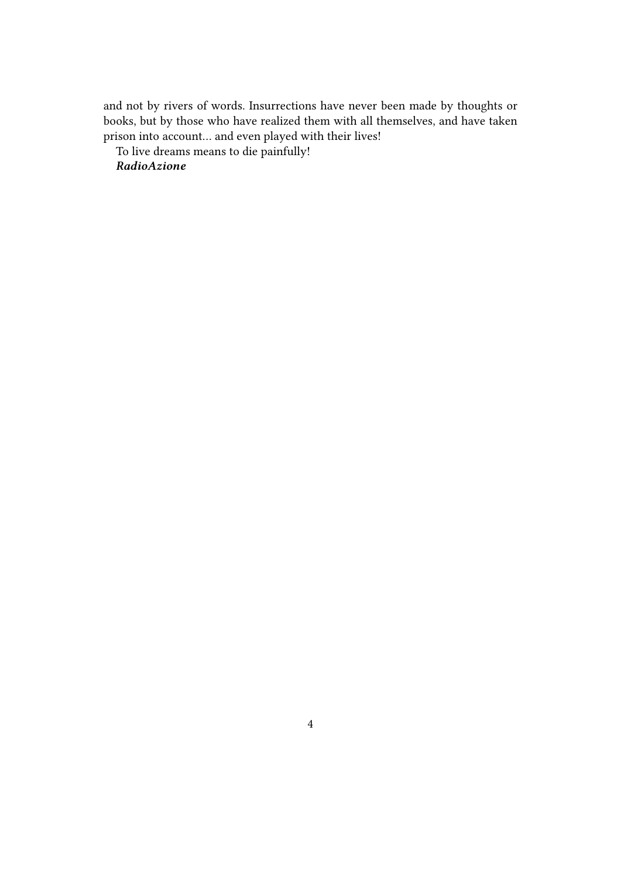and not by rivers of words. Insurrections have never been made by thoughts or books, but by those who have realized them with all themselves, and have taken prison into account… and even played with their lives!

To live dreams means to die painfully!

*RadioAzione*